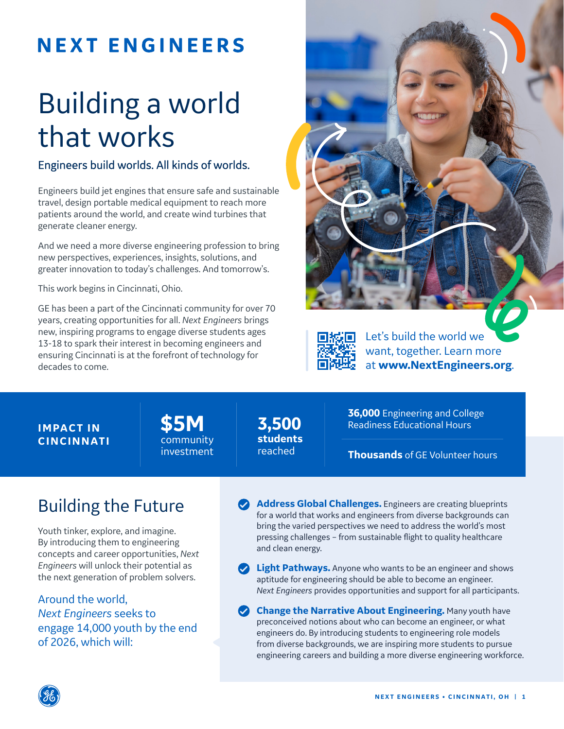## **NEXT ENGINEERS**

# Building a world that works

#### Engineers build worlds. All kinds of worlds.

Engineers build jet engines that ensure safe and sustainable travel, design portable medical equipment to reach more patients around the world, and create wind turbines that generate cleaner energy.

And we need a more diverse engineering profession to bring new perspectives, experiences, insights, solutions, and greater innovation to today's challenges. And tomorrow's.

This work begins in Cincinnati, Ohio.

GE has been a part of the Cincinnati community for over 70 years, creating opportunities for all. *Next Engineers* brings new, inspiring programs to engage diverse students ages 13-18 to spark their interest in becoming engineers and ensuring Cincinnati is at the forefront of technology for decades to come.





Let's build the world we want, together. Learn more at **www.NextEngineers.org**.

#### **IMPACT IN CINCINNATI**

**\$5M** community investment

**3,500 students**  reached

**36,000** Engineering and College Readiness Educational Hours

**Thousands** of GE Volunteer hours

### Building the Future

Youth tinker, explore, and imagine. By introducing them to engineering concepts and career opportunities, *Next Engineers* will unlock their potential as the next generation of problem solvers.

Around the world, *Next Engineers* seeks to engage 14,000 youth by the end of 2026, which will:

**Address Global Challenges.** Engineers are creating blueprints for a world that works and engineers from diverse backgrounds can bring the varied perspectives we need to address the world's most pressing challenges – from sustainable flight to quality healthcare and clean energy.

**Light Pathways.** Anyone who wants to be an engineer and shows aptitude for engineering should be able to become an engineer. *Next Engineers* provides opportunities and support for all participants.

**Change the Narrative About Engineering.** Many youth have preconceived notions about who can become an engineer, or what engineers do. By introducing students to engineering role models from diverse backgrounds, we are inspiring more students to pursue engineering careers and building a more diverse engineering workforce.